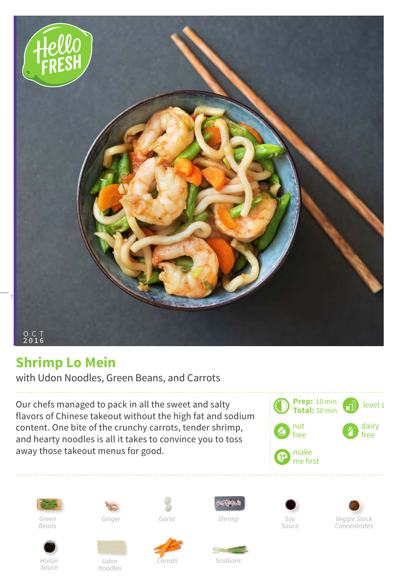

## **Shrimp Lo Mein**

with Udon Noodles, Green Beans, and Carrots

Our chefs managed to pack in all the sweet and salty flavors of Chinese takeout without the high fat and sodium content. One bite of the crunchy carrots, tender shrimp, and hearty noodles is all it takes to convince you to toss away those takeout menus for good.





*Green Beans*



*Udon Noodles*

*Garlic*







*Veggie Stock Concentrates* 



*Sauce*



*Scallions*